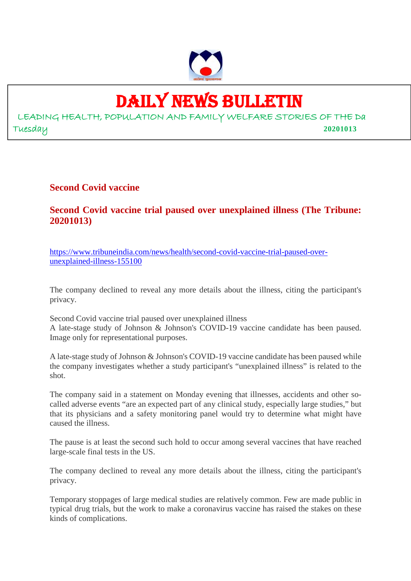

# DAILY NEWS BULLETIN

LEADING HEALTH, POPULATION AND FAMILY WELFARE STORIES OF THE Da Tuesday **20201013**

#### **Second Covid vaccine**

#### **Second Covid vaccine trial paused over unexplained illness (The Tribune: 20201013)**

https://www.tribuneindia.com/news/health/second-covid-vaccine-trial-paused-overunexplained-illness-155100

The company declined to reveal any more details about the illness, citing the participant's privacy.

Second Covid vaccine trial paused over unexplained illness A late-stage study of Johnson & Johnson's COVID-19 vaccine candidate has been paused. Image only for representational purposes.

A late-stage study of Johnson & Johnson's COVID-19 vaccine candidate has been paused while the company investigates whether a study participant's "unexplained illness" is related to the shot.

The company said in a statement on Monday evening that illnesses, accidents and other socalled adverse events "are an expected part of any clinical study, especially large studies," but that its physicians and a safety monitoring panel would try to determine what might have caused the illness.

The pause is at least the second such hold to occur among several vaccines that have reached large-scale final tests in the US.

The company declined to reveal any more details about the illness, citing the participant's privacy.

Temporary stoppages of large medical studies are relatively common. Few are made public in typical drug trials, but the work to make a coronavirus vaccine has raised the stakes on these kinds of complications.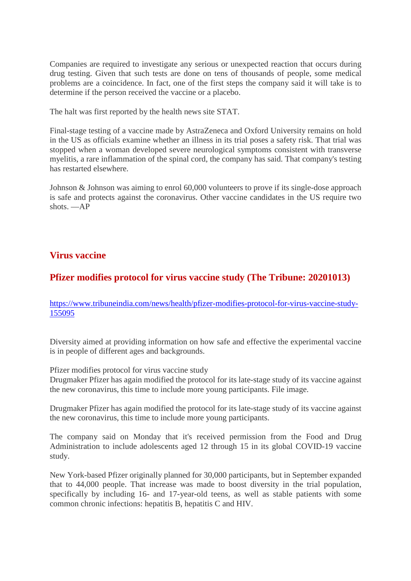Companies are required to investigate any serious or unexpected reaction that occurs during drug testing. Given that such tests are done on tens of thousands of people, some medical problems are a coincidence. In fact, one of the first steps the company said it will take is to determine if the person received the vaccine or a placebo.

The halt was first reported by the health news site STAT.

Final-stage testing of a vaccine made by AstraZeneca and Oxford University remains on hold in the US as officials examine whether an illness in its trial poses a safety risk. That trial was stopped when a woman developed severe neurological symptoms consistent with transverse myelitis, a rare inflammation of the spinal cord, the company has said. That company's testing has restarted elsewhere.

Johnson & Johnson was aiming to enrol 60,000 volunteers to prove if its single-dose approach is safe and protects against the coronavirus. Other vaccine candidates in the US require two shots. —AP

#### **Virus vaccine**

#### **Pfizer modifies protocol for virus vaccine study (The Tribune: 20201013)**

https://www.tribuneindia.com/news/health/pfizer-modifies-protocol-for-virus-vaccine-study-155095

Diversity aimed at providing information on how safe and effective the experimental vaccine is in people of different ages and backgrounds.

Pfizer modifies protocol for virus vaccine study

Drugmaker Pfizer has again modified the protocol for its late-stage study of its vaccine against the new coronavirus, this time to include more young participants. File image.

Drugmaker Pfizer has again modified the protocol for its late-stage study of its vaccine against the new coronavirus, this time to include more young participants.

The company said on Monday that it's received permission from the Food and Drug Administration to include adolescents aged 12 through 15 in its global COVID-19 vaccine study.

New York-based Pfizer originally planned for 30,000 participants, but in September expanded that to 44,000 people. That increase was made to boost diversity in the trial population, specifically by including 16- and 17-year-old teens, as well as stable patients with some common chronic infections: hepatitis B, hepatitis C and HIV.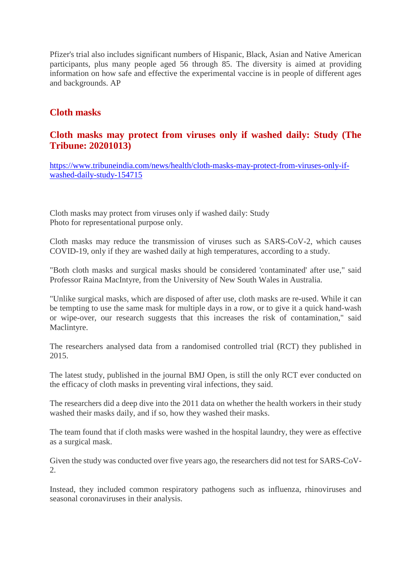Pfizer's trial also includes significant numbers of Hispanic, Black, Asian and Native American participants, plus many people aged 56 through 85. The diversity is aimed at providing information on how safe and effective the experimental vaccine is in people of different ages and backgrounds. AP

#### **Cloth masks**

#### **Cloth masks may protect from viruses only if washed daily: Study (The Tribune: 20201013)**

https://www.tribuneindia.com/news/health/cloth-masks-may-protect-from-viruses-only-ifwashed-daily-study-154715

Cloth masks may protect from viruses only if washed daily: Study Photo for representational purpose only.

Cloth masks may reduce the transmission of viruses such as SARS-CoV-2, which causes COVID-19, only if they are washed daily at high temperatures, according to a study.

"Both cloth masks and surgical masks should be considered 'contaminated' after use," said Professor Raina MacIntyre, from the University of New South Wales in Australia.

"Unlike surgical masks, which are disposed of after use, cloth masks are re-used. While it can be tempting to use the same mask for multiple days in a row, or to give it a quick hand-wash or wipe-over, our research suggests that this increases the risk of contamination," said Maclintyre.

The researchers analysed data from a randomised controlled trial (RCT) they published in 2015.

The latest study, published in the journal BMJ Open, is still the only RCT ever conducted on the efficacy of cloth masks in preventing viral infections, they said.

The researchers did a deep dive into the 2011 data on whether the health workers in their study washed their masks daily, and if so, how they washed their masks.

The team found that if cloth masks were washed in the hospital laundry, they were as effective as a surgical mask.

Given the study was conducted over five years ago, the researchers did not test for SARS-CoV-2.

Instead, they included common respiratory pathogens such as influenza, rhinoviruses and seasonal coronaviruses in their analysis.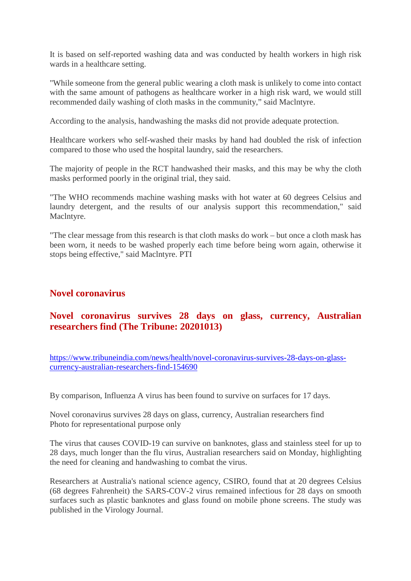It is based on self-reported washing data and was conducted by health workers in high risk wards in a healthcare setting.

"While someone from the general public wearing a cloth mask is unlikely to come into contact with the same amount of pathogens as healthcare worker in a high risk ward, we would still recommended daily washing of cloth masks in the community," said Maclntyre.

According to the analysis, handwashing the masks did not provide adequate protection.

Healthcare workers who self-washed their masks by hand had doubled the risk of infection compared to those who used the hospital laundry, said the researchers.

The majority of people in the RCT handwashed their masks, and this may be why the cloth masks performed poorly in the original trial, they said.

"The WHO recommends machine washing masks with hot water at 60 degrees Celsius and laundry detergent, and the results of our analysis support this recommendation," said Maclntyre.

"The clear message from this research is that cloth masks do work – but once a cloth mask has been worn, it needs to be washed properly each time before being worn again, otherwise it stops being effective," said Maclntyre. PTI

#### **Novel coronavirus**

#### **Novel coronavirus survives 28 days on glass, currency, Australian researchers find (The Tribune: 20201013)**

https://www.tribuneindia.com/news/health/novel-coronavirus-survives-28-days-on-glasscurrency-australian-researchers-find-154690

By comparison, Influenza A virus has been found to survive on surfaces for 17 days.

Novel coronavirus survives 28 days on glass, currency, Australian researchers find Photo for representational purpose only

The virus that causes COVID-19 can survive on banknotes, glass and stainless steel for up to 28 days, much longer than the flu virus, Australian researchers said on Monday, highlighting the need for cleaning and handwashing to combat the virus.

Researchers at Australia's national science agency, CSIRO, found that at 20 degrees Celsius (68 degrees Fahrenheit) the SARS-COV-2 virus remained infectious for 28 days on smooth surfaces such as plastic banknotes and glass found on mobile phone screens. The study was published in the Virology Journal.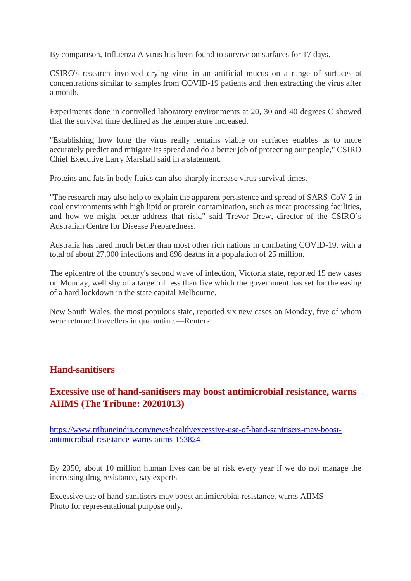By comparison, Influenza A virus has been found to survive on surfaces for 17 days.

CSIRO's research involved drying virus in an artificial mucus on a range of surfaces at concentrations similar to samples from COVID-19 patients and then extracting the virus after a month.

Experiments done in controlled laboratory environments at 20, 30 and 40 degrees C showed that the survival time declined as the temperature increased.

"Establishing how long the virus really remains viable on surfaces enables us to more accurately predict and mitigate its spread and do a better job of protecting our people," CSIRO Chief Executive Larry Marshall said in a statement.

Proteins and fats in body fluids can also sharply increase virus survival times.

"The research may also help to explain the apparent persistence and spread of SARS-CoV-2 in cool environments with high lipid or protein contamination, such as meat processing facilities, and how we might better address that risk," said Trevor Drew, director of the CSIRO's Australian Centre for Disease Preparedness.

Australia has fared much better than most other rich nations in combating COVID-19, with a total of about 27,000 infections and 898 deaths in a population of 25 million.

The epicentre of the country's second wave of infection, Victoria state, reported 15 new cases on Monday, well shy of a target of less than five which the government has set for the easing of a hard lockdown in the state capital Melbourne.

New South Wales, the most populous state, reported six new cases on Monday, five of whom were returned travellers in quarantine.—Reuters

#### **Hand-sanitisers**

#### **Excessive use of hand-sanitisers may boost antimicrobial resistance, warns AIIMS (The Tribune: 20201013)**

https://www.tribuneindia.com/news/health/excessive-use-of-hand-sanitisers-may-boostantimicrobial-resistance-warns-aiims-153824

By 2050, about 10 million human lives can be at risk every year if we do not manage the increasing drug resistance, say experts

Excessive use of hand-sanitisers may boost antimicrobial resistance, warns AIIMS Photo for representational purpose only.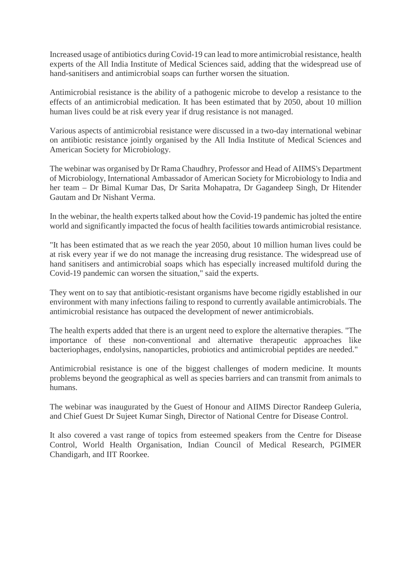Increased usage of antibiotics during Covid-19 can lead to more antimicrobial resistance, health experts of the All India Institute of Medical Sciences said, adding that the widespread use of hand-sanitisers and antimicrobial soaps can further worsen the situation.

Antimicrobial resistance is the ability of a pathogenic microbe to develop a resistance to the effects of an antimicrobial medication. It has been estimated that by 2050, about 10 million human lives could be at risk every year if drug resistance is not managed.

Various aspects of antimicrobial resistance were discussed in a two-day international webinar on antibiotic resistance jointly organised by the All India Institute of Medical Sciences and American Society for Microbiology.

The webinar was organised by Dr Rama Chaudhry, Professor and Head of AIIMS's Department of Microbiology, International Ambassador of American Society for Microbiology to India and her team – Dr Bimal Kumar Das, Dr Sarita Mohapatra, Dr Gagandeep Singh, Dr Hitender Gautam and Dr Nishant Verma.

In the webinar, the health experts talked about how the Covid-19 pandemic has jolted the entire world and significantly impacted the focus of health facilities towards antimicrobial resistance.

"It has been estimated that as we reach the year 2050, about 10 million human lives could be at risk every year if we do not manage the increasing drug resistance. The widespread use of hand sanitisers and antimicrobial soaps which has especially increased multifold during the Covid-19 pandemic can worsen the situation," said the experts.

They went on to say that antibiotic-resistant organisms have become rigidly established in our environment with many infections failing to respond to currently available antimicrobials. The antimicrobial resistance has outpaced the development of newer antimicrobials.

The health experts added that there is an urgent need to explore the alternative therapies. "The importance of these non-conventional and alternative therapeutic approaches like bacteriophages, endolysins, nanoparticles, probiotics and antimicrobial peptides are needed."

Antimicrobial resistance is one of the biggest challenges of modern medicine. It mounts problems beyond the geographical as well as species barriers and can transmit from animals to humans.

The webinar was inaugurated by the Guest of Honour and AIIMS Director Randeep Guleria, and Chief Guest Dr Sujeet Kumar Singh, Director of National Centre for Disease Control.

It also covered a vast range of topics from esteemed speakers from the Centre for Disease Control, World Health Organisation, Indian Council of Medical Research, PGIMER Chandigarh, and IIT Roorkee.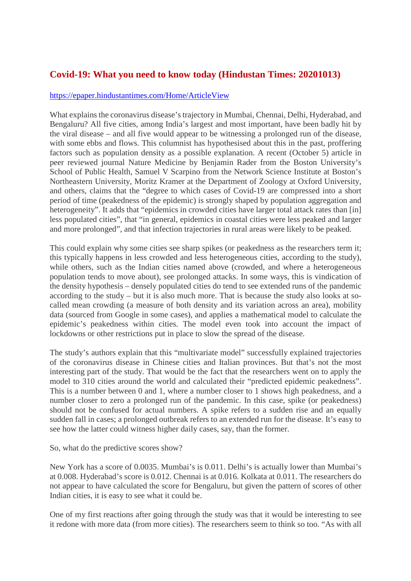#### **Covid-19: What you need to know today (Hindustan Times: 20201013)**

#### https://epaper.hindustantimes.com/Home/ArticleView

What explains the coronavirus disease's trajectory in Mumbai, Chennai, Delhi, Hyderabad, and Bengaluru? All five cities, among India's largest and most important, have been badly hit by the viral disease – and all five would appear to be witnessing a prolonged run of the disease, with some ebbs and flows. This columnist has hypothesised about this in the past, proffering factors such as population density as a possible explanation. A recent (October 5) article in peer reviewed journal Nature Medicine by Benjamin Rader from the Boston University's School of Public Health, Samuel V Scarpino from the Network Science Institute at Boston's Northeastern University, Moritz Kramer at the Department of Zoology at Oxford University, and others, claims that the "degree to which cases of Covid-19 are compressed into a short period of time (peakedness of the epidemic) is strongly shaped by population aggregation and heterogeneity". It adds that "epidemics in crowded cities have larger total attack rates than [in] less populated cities", that "in general, epidemics in coastal cities were less peaked and larger and more prolonged", and that infection trajectories in rural areas were likely to be peaked.

This could explain why some cities see sharp spikes (or peakedness as the researchers term it; this typically happens in less crowded and less heterogeneous cities, according to the study), while others, such as the Indian cities named above (crowded, and where a heterogeneous population tends to move about), see prolonged attacks. In some ways, this is vindication of the density hypothesis – densely populated cities do tend to see extended runs of the pandemic according to the study – but it is also much more. That is because the study also looks at socalled mean crowding (a measure of both density and its variation across an area), mobility data (sourced from Google in some cases), and applies a mathematical model to calculate the epidemic's peakedness within cities. The model even took into account the impact of lockdowns or other restrictions put in place to slow the spread of the disease.

The study's authors explain that this "multivariate model" successfully explained trajectories of the coronavirus disease in Chinese cities and Italian provinces. But that's not the most interesting part of the study. That would be the fact that the researchers went on to apply the model to 310 cities around the world and calculated their "predicted epidemic peakedness". This is a number between 0 and 1, where a number closer to 1 shows high peakedness, and a number closer to zero a prolonged run of the pandemic. In this case, spike (or peakedness) should not be confused for actual numbers. A spike refers to a sudden rise and an equally sudden fall in cases; a prolonged outbreak refers to an extended run for the disease. It's easy to see how the latter could witness higher daily cases, say, than the former.

So, what do the predictive scores show?

New York has a score of 0.0035. Mumbai's is 0.011. Delhi's is actually lower than Mumbai's at 0.008. Hyderabad's score is 0.012. Chennai is at 0.016. Kolkata at 0.011. The researchers do not appear to have calculated the score for Bengaluru, but given the pattern of scores of other Indian cities, it is easy to see what it could be.

One of my first reactions after going through the study was that it would be interesting to see it redone with more data (from more cities). The researchers seem to think so too. "As with all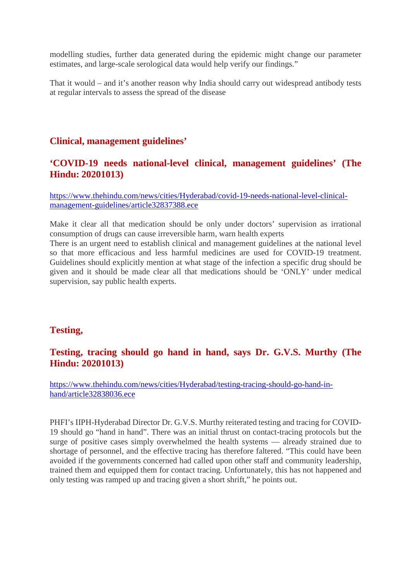modelling studies, further data generated during the epidemic might change our parameter estimates, and large-scale serological data would help verify our findings."

That it would – and it's another reason why India should carry out widespread antibody tests at regular intervals to assess the spread of the disease

#### **Clinical, management guidelines'**

#### **'COVID-19 needs national-level clinical, management guidelines' (The Hindu: 20201013)**

https://www.thehindu.com/news/cities/Hyderabad/covid-19-needs-national-level-clinicalmanagement-guidelines/article32837388.ece

Make it clear all that medication should be only under doctors' supervision as irrational consumption of drugs can cause irreversible harm, warn health experts

There is an urgent need to establish clinical and management guidelines at the national level so that more efficacious and less harmful medicines are used for COVID-19 treatment. Guidelines should explicitly mention at what stage of the infection a specific drug should be given and it should be made clear all that medications should be 'ONLY' under medical supervision, say public health experts.

#### **Testing,**

#### **Testing, tracing should go hand in hand, says Dr. G.V.S. Murthy (The Hindu: 20201013)**

https://www.thehindu.com/news/cities/Hyderabad/testing-tracing-should-go-hand-inhand/article32838036.ece

PHFI's IIPH-Hyderabad Director Dr. G.V.S. Murthy reiterated testing and tracing for COVID-19 should go "hand in hand". There was an initial thrust on contact-tracing protocols but the surge of positive cases simply overwhelmed the health systems — already strained due to shortage of personnel, and the effective tracing has therefore faltered. "This could have been avoided if the governments concerned had called upon other staff and community leadership, trained them and equipped them for contact tracing. Unfortunately, this has not happened and only testing was ramped up and tracing given a short shrift," he points out.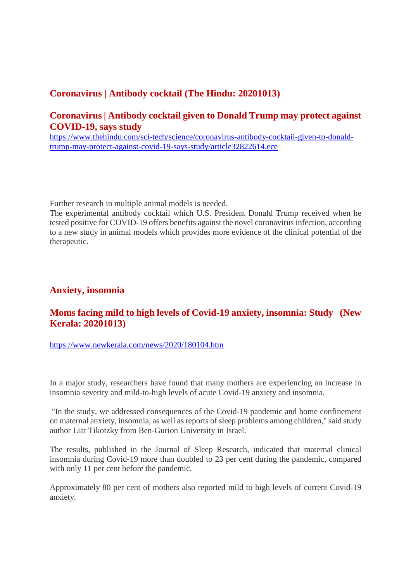#### **Coronavirus | Antibody cocktail (The Hindu: 20201013)**

#### **Coronavirus | Antibody cocktail given to Donald Trump may protect against COVID-19, says study**

https://www.thehindu.com/sci-tech/science/coronavirus-antibody-cocktail-given-to-donaldtrump-may-protect-against-covid-19-says-study/article32822614.ece

Further research in multiple animal models is needed.

The experimental antibody cocktail which U.S. President Donald Trump received when he tested positive for COVID-19 offers benefits against the novel coronavirus infection, according to a new study in animal models which provides more evidence of the clinical potential of the therapeutic.

#### **Anxiety, insomnia**

#### **Moms facing mild to high levels of Covid-19 anxiety, insomnia: Study (New Kerala: 20201013)**

https://www.newkerala.com/news/2020/180104.htm

In a major study, researchers have found that many mothers are experiencing an increase in insomnia severity and mild-to-high levels of acute Covid-19 anxiety and insomnia.

"In the study, we addressed consequences of the Covid-19 pandemic and home confinement on maternal anxiety, insomnia, as well as reports of sleep problems among children," said study author Liat Tikotzky from Ben-Gurion University in Israel.

The results, published in the Journal of Sleep Research, indicated that maternal clinical insomnia during Covid-19 more than doubled to 23 per cent during the pandemic, compared with only 11 per cent before the pandemic.

Approximately 80 per cent of mothers also reported mild to high levels of current Covid-19 anxiety.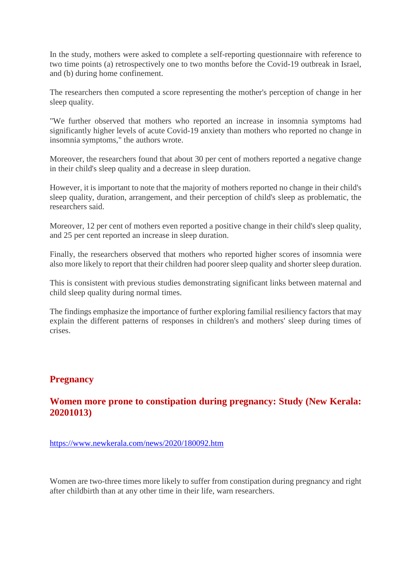In the study, mothers were asked to complete a self-reporting questionnaire with reference to two time points (a) retrospectively one to two months before the Covid-19 outbreak in Israel, and (b) during home confinement.

The researchers then computed a score representing the mother's perception of change in her sleep quality.

"We further observed that mothers who reported an increase in insomnia symptoms had significantly higher levels of acute Covid-19 anxiety than mothers who reported no change in insomnia symptoms," the authors wrote.

Moreover, the researchers found that about 30 per cent of mothers reported a negative change in their child's sleep quality and a decrease in sleep duration.

However, it is important to note that the majority of mothers reported no change in their child's sleep quality, duration, arrangement, and their perception of child's sleep as problematic, the researchers said.

Moreover, 12 per cent of mothers even reported a positive change in their child's sleep quality, and 25 per cent reported an increase in sleep duration.

Finally, the researchers observed that mothers who reported higher scores of insomnia were also more likely to report that their children had poorer sleep quality and shorter sleep duration.

This is consistent with previous studies demonstrating significant links between maternal and child sleep quality during normal times.

The findings emphasize the importance of further exploring familial resiliency factors that may explain the different patterns of responses in children's and mothers' sleep during times of crises.

#### **Pregnancy**

#### **Women more prone to constipation during pregnancy: Study (New Kerala: 20201013)**

https://www.newkerala.com/news/2020/180092.htm

Women are two-three times more likely to suffer from constipation during pregnancy and right after childbirth than at any other time in their life, warn researchers.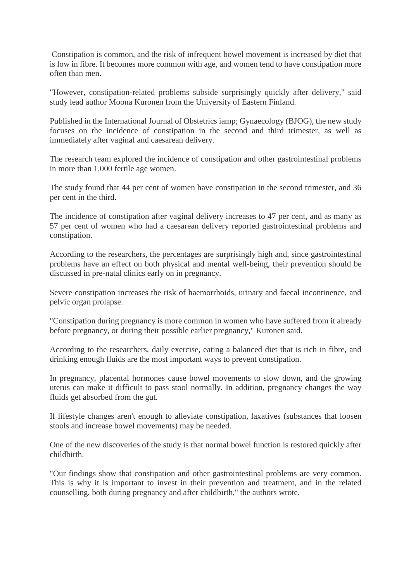Constipation is common, and the risk of infrequent bowel movement is increased by diet that is low in fibre. It becomes more common with age, and women tend to have constipation more often than men.

"However, constipation-related problems subside surprisingly quickly after delivery," said study lead author Moona Kuronen from the University of Eastern Finland.

Published in the International Journal of Obstetrics iamp; Gynaecology (BJOG), the new study focuses on the incidence of constipation in the second and third trimester, as well as immediately after vaginal and caesarean delivery.

The research team explored the incidence of constipation and other gastrointestinal problems in more than 1,000 fertile age women.

The study found that 44 per cent of women have constipation in the second trimester, and 36 per cent in the third.

The incidence of constipation after vaginal delivery increases to 47 per cent, and as many as 57 per cent of women who had a caesarean delivery reported gastrointestinal problems and constipation.

According to the researchers, the percentages are surprisingly high and, since gastrointestinal problems have an effect on both physical and mental well-being, their prevention should be discussed in pre-natal clinics early on in pregnancy.

Severe constipation increases the risk of haemorrhoids, urinary and faecal incontinence, and pelvic organ prolapse.

"Constipation during pregnancy is more common in women who have suffered from it already before pregnancy, or during their possible earlier pregnancy," Kuronen said.

According to the researchers, daily exercise, eating a balanced diet that is rich in fibre, and drinking enough fluids are the most important ways to prevent constipation.

In pregnancy, placental hormones cause bowel movements to slow down, and the growing uterus can make it difficult to pass stool normally. In addition, pregnancy changes the way fluids get absorbed from the gut.

If lifestyle changes aren't enough to alleviate constipation, laxatives (substances that loosen stools and increase bowel movements) may be needed.

One of the new discoveries of the study is that normal bowel function is restored quickly after childbirth.

"Our findings show that constipation and other gastrointestinal problems are very common. This is why it is important to invest in their prevention and treatment, and in the related counselling, both during pregnancy and after childbirth," the authors wrote.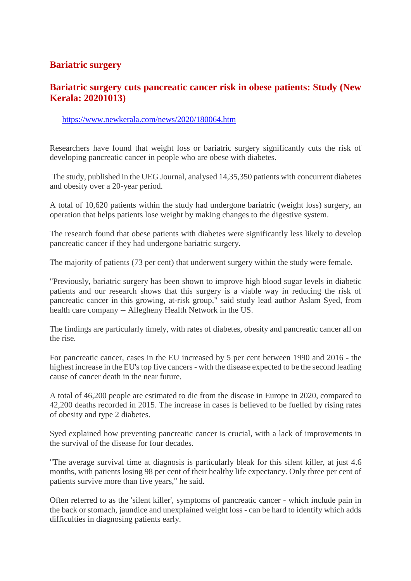#### **Bariatric surgery**

#### **Bariatric surgery cuts pancreatic cancer risk in obese patients: Study (New Kerala: 20201013)**

#### https://www.newkerala.com/news/2020/180064.htm

Researchers have found that weight loss or bariatric surgery significantly cuts the risk of developing pancreatic cancer in people who are obese with diabetes.

The study, published in the UEG Journal, analysed 14,35,350 patients with concurrent diabetes and obesity over a 20-year period.

A total of 10,620 patients within the study had undergone bariatric (weight loss) surgery, an operation that helps patients lose weight by making changes to the digestive system.

The research found that obese patients with diabetes were significantly less likely to develop pancreatic cancer if they had undergone bariatric surgery.

The majority of patients (73 per cent) that underwent surgery within the study were female.

"Previously, bariatric surgery has been shown to improve high blood sugar levels in diabetic patients and our research shows that this surgery is a viable way in reducing the risk of pancreatic cancer in this growing, at-risk group," said study lead author Aslam Syed, from health care company -- Allegheny Health Network in the US.

The findings are particularly timely, with rates of diabetes, obesity and pancreatic cancer all on the rise.

For pancreatic cancer, cases in the EU increased by 5 per cent between 1990 and 2016 - the highest increase in the EU's top five cancers - with the disease expected to be the second leading cause of cancer death in the near future.

A total of 46,200 people are estimated to die from the disease in Europe in 2020, compared to 42,200 deaths recorded in 2015. The increase in cases is believed to be fuelled by rising rates of obesity and type 2 diabetes.

Syed explained how preventing pancreatic cancer is crucial, with a lack of improvements in the survival of the disease for four decades.

"The average survival time at diagnosis is particularly bleak for this silent killer, at just 4.6 months, with patients losing 98 per cent of their healthy life expectancy. Only three per cent of patients survive more than five years," he said.

Often referred to as the 'silent killer', symptoms of pancreatic cancer - which include pain in the back or stomach, jaundice and unexplained weight loss - can be hard to identify which adds difficulties in diagnosing patients early.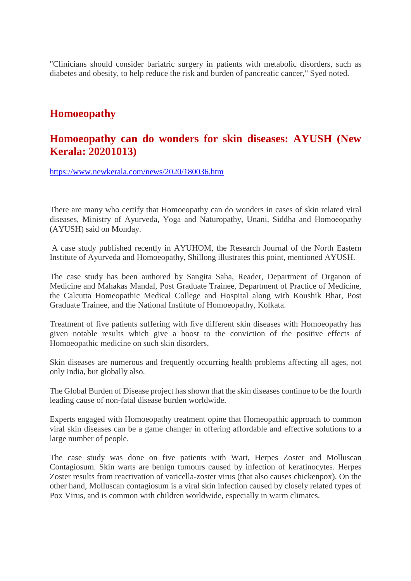"Clinicians should consider bariatric surgery in patients with metabolic disorders, such as diabetes and obesity, to help reduce the risk and burden of pancreatic cancer," Syed noted.

#### **Homoeopathy**

#### **Homoeopathy can do wonders for skin diseases: AYUSH (New Kerala: 20201013)**

https://www.newkerala.com/news/2020/180036.htm

There are many who certify that Homoeopathy can do wonders in cases of skin related viral diseases, Ministry of Ayurveda, Yoga and Naturopathy, Unani, Siddha and Homoeopathy (AYUSH) said on Monday.

A case study published recently in AYUHOM, the Research Journal of the North Eastern Institute of Ayurveda and Homoeopathy, Shillong illustrates this point, mentioned AYUSH.

The case study has been authored by Sangita Saha, Reader, Department of Organon of Medicine and Mahakas Mandal, Post Graduate Trainee, Department of Practice of Medicine, the Calcutta Homeopathic Medical College and Hospital along with Koushik Bhar, Post Graduate Trainee, and the National Institute of Homoeopathy, Kolkata.

Treatment of five patients suffering with five different skin diseases with Homoeopathy has given notable results which give a boost to the conviction of the positive effects of Homoeopathic medicine on such skin disorders.

Skin diseases are numerous and frequently occurring health problems affecting all ages, not only India, but globally also.

The Global Burden of Disease project has shown that the skin diseases continue to be the fourth leading cause of non-fatal disease burden worldwide.

Experts engaged with Homoeopathy treatment opine that Homeopathic approach to common viral skin diseases can be a game changer in offering affordable and effective solutions to a large number of people.

The case study was done on five patients with Wart, Herpes Zoster and Molluscan Contagiosum. Skin warts are benign tumours caused by infection of keratinocytes. Herpes Zoster results from reactivation of varicella-zoster virus (that also causes chickenpox). On the other hand, Molluscan contagiosum is a viral skin infection caused by closely related types of Pox Virus, and is common with children worldwide, especially in warm climates.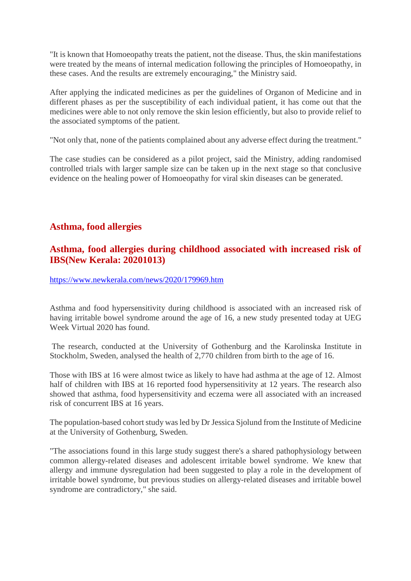"It is known that Homoeopathy treats the patient, not the disease. Thus, the skin manifestations were treated by the means of internal medication following the principles of Homoeopathy, in these cases. And the results are extremely encouraging," the Ministry said.

After applying the indicated medicines as per the guidelines of Organon of Medicine and in different phases as per the susceptibility of each individual patient, it has come out that the medicines were able to not only remove the skin lesion efficiently, but also to provide relief to the associated symptoms of the patient.

"Not only that, none of the patients complained about any adverse effect during the treatment."

The case studies can be considered as a pilot project, said the Ministry, adding randomised controlled trials with larger sample size can be taken up in the next stage so that conclusive evidence on the healing power of Homoeopathy for viral skin diseases can be generated.

#### **Asthma, food allergies**

#### **Asthma, food allergies during childhood associated with increased risk of IBS(New Kerala: 20201013)**

https://www.newkerala.com/news/2020/179969.htm

Asthma and food hypersensitivity during childhood is associated with an increased risk of having irritable bowel syndrome around the age of 16, a new study presented today at UEG Week Virtual 2020 has found.

The research, conducted at the University of Gothenburg and the Karolinska Institute in Stockholm, Sweden, analysed the health of 2,770 children from birth to the age of 16.

Those with IBS at 16 were almost twice as likely to have had asthma at the age of 12. Almost half of children with IBS at 16 reported food hypersensitivity at 12 years. The research also showed that asthma, food hypersensitivity and eczema were all associated with an increased risk of concurrent IBS at 16 years.

The population-based cohort study was led by Dr Jessica Sjolund from the Institute of Medicine at the University of Gothenburg, Sweden.

"The associations found in this large study suggest there's a shared pathophysiology between common allergy-related diseases and adolescent irritable bowel syndrome. We knew that allergy and immune dysregulation had been suggested to play a role in the development of irritable bowel syndrome, but previous studies on allergy-related diseases and irritable bowel syndrome are contradictory," she said.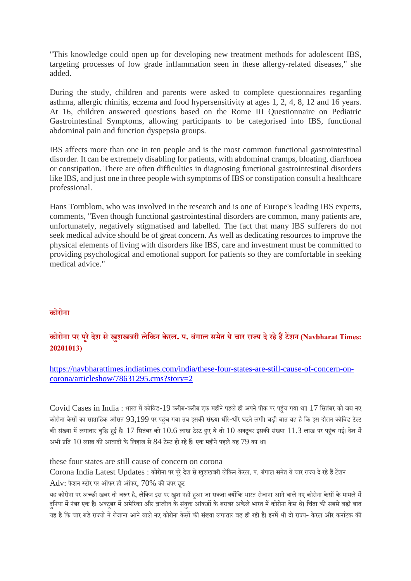"This knowledge could open up for developing new treatment methods for adolescent IBS, targeting processes of low grade inflammation seen in these allergy-related diseases," she added.

During the study, children and parents were asked to complete questionnaires regarding asthma, allergic rhinitis, eczema and food hypersensitivity at ages 1, 2, 4, 8, 12 and 16 years. At 16, children answered questions based on the Rome III Questionnaire on Pediatric Gastrointestinal Symptoms, allowing participants to be categorised into IBS, functional abdominal pain and function dyspepsia groups.

IBS affects more than one in ten people and is the most common functional gastrointestinal disorder. It can be extremely disabling for patients, with abdominal cramps, bloating, diarrhoea or constipation. There are often difficulties in diagnosing functional gastrointestinal disorders like IBS, and just one in three people with symptoms of IBS or constipation consult a healthcare professional.

Hans Tornblom, who was involved in the research and is one of Europe's leading IBS experts, comments, "Even though functional gastrointestinal disorders are common, many patients are, unfortunately, negatively stigmatised and labelled. The fact that many IBS sufferers do not seek medical advice should be of great concern. As well as dedicating resources to improve the physical elements of living with disorders like IBS, care and investment must be committed to providing psychological and emotional support for patients so they are comfortable in seeking medical advice."

#### **कोरोना**

#### **कोरोना पर पूरेदेश सेखुशखबरी लेिकन केरल. प. बंगाल समेत येचार राय देरहेहटशन (Navbharat Times: 20201013)**

https://navbharattimes.indiatimes.com/india/these-four-states-are-still-cause-of-concern-oncorona/articleshow/78631295.cms?story=2

Covid Cases in India : भारत में कोविड-19 करीब-करीब एक महीने पहले ही अपने पीक पर पहंच गया था। 17 सितंबर को जब नए कोरोना केसों का साप्ताहिक औसत 93,199 पर पहुंच गया तब इसकी संख्या धीरे-धीरे घटने लगी। बड़ी बात यह है कि इस दौरान कोविड टेस्ट की संख्या में लगातार वृद्धि हुई है। 17 सितंबर को 10.6 लाख टेस्ट हुए थे तो 10 अक्टूबर इसकी संख्या 11.3 लाख पर पहुंच गई। देश में अभी प्रति  $10$  लाख की आबादी के लिहाज से  $84$  टेस्ट हो रहे हैं। एक महीने पहले यह  $79$  का था।

these four states are still cause of concern on corona

Corona India Latest Updates : कोरोना पर पुरे देश से खुशखबरी लेकिन केरल. प. बंगाल समेत ये चार राज्य दे रहे हैं टेंशन  $Adv: \frac{1}{2}$ फेशन स्टोर पर ऑफर ही ऑफर,  $70\%$  की बंपर छूट

यह कोरोना पर अच्छी खबर तो जरूर है, लेकिन इस पर खुश नहीं हुआ जा सकता क्योंकि भारत रोजाना आने वाले नए कोरोना केसों के मामले में दनिया में नंबर एक है। अक्टूबर में अमेरिका और ब्राजील के संयुक्त आंकड़ों के बराबर अकेले भारत में कोरोना केस थे। चिंता की सबसे बड़ी बात यह है कि चार बड़े राज्यों में रोजाना आने वाले नए कोरोना केसों की संख्या लगातार बढ़ ही रही है। इनमें भी दो राज्य- केरल और कर्नाटक की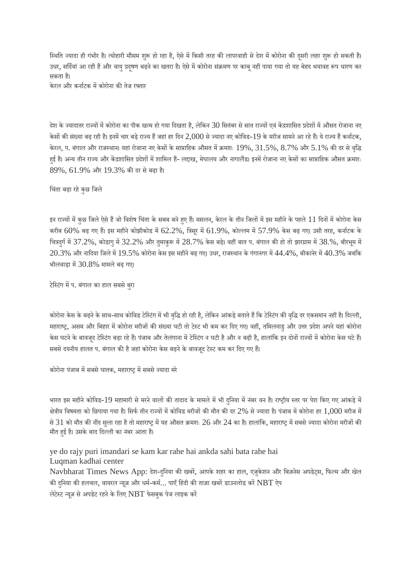स्थिति ज्यादा ही गंभीर है। त्योहारी मौसम शुरू हो रहा है, ऐसे में किसी तरह की लापरवाही से देश में कोरोना की दूसरी लहर शुरू हो सकती है। उधर, सर्दियां आ रही हैं और वायु प्रदुषण बढ़ने का खतरा है। ऐसे में कोरोना संक्रमण पर काबू नहीं पाया गया तो यह बेहद भयावह रूप धारण कर सकता ह।ै

केरल और कर्नाटक में कोरोना की तेज रफ्तार

देश के ज्यादातर राज्यों में कोरोना का पीक खत्म हो गया दिखता है, लेकिन 30 सितंबर से सात राज्यों एवं केंद्रशासित प्रदेशों में औसत रोजाना नए केसों की संख्या बढ़ रही है। इनमें चार बड़े राज्य हैं जहां हर दिन  $2,\!000$  से ज्यादा नए कोविड- $19$  के मरीज सामने आ रहे हैं। ये राज्य हैं कर्नाटक, केरल, प. बंगाल और राजस्थान। यहां रोजाना नए केसों के साप्ताहिक औसत में क्रमशः  $19\%$ ,  $31.5\%$ ,  $8.7\%$  और  $5.1\%$  की दर से वृद्धि हुई है। अन्य तीन राज्य और केंद्रशासित प्रदेशों में शामिल हैं- लद्दाख, मेघालय और नागालैंड। इनमें रोजाना नए केसों का साप्ताहिक औसत क्रमशः 89%, 61.9% और 19.3% कदर सेबढ़ा ह।ै

िचंता बढ़ा रहेकुछ िजले

इन राज्यों में कुछ जिले ऐसे हैं जो विशेष चिंता के सबब बने हुए हैं। मसलन, केरल के तीन जिलों में इस महीने के पहले 11 दिनों में कोरोना केस करीब  $60\%$  बढ़ गए हैं। इस महीने कोझीकोड में  $62.2\%$ , त्रिसुर में  $61.9\%$ , कोल्लम में  $57.9\%$  केस बढ़ गए। उसी तरह, कर्नाटक के चित्रदुर्ग में 37.2%, कोडागु में 32.2% और तुमाकुरू में 28.7% केस बढ़े। वहीं बात प. बंगाल की हो तो झारग्राम में 38.%, बीरभुम में  $20.3\%$  और नादिया जिले में  $19.5\%$  कोरोना केस इस महीने बढ़ गए। उधर, राजस्थान के गंगानगर में  $44.4\%$ , बीकानेर में  $40.3\%$  जबकि भीलवाड़ा में  $30.8\%$  मामले बढ़ गए।

टेस्टिंग में प. बंगाल का हाल सबसे बुरा

कोरोना केस के बढ़ने के साथ-साथ कोविड टेस्टिंग में भी वृद्धि हो रही है, लेकिन आंकड़े बताते हैं कि टेस्टिंग की वृद्धि दर एकसमान नहीं है। दिल्ली, महाराष्ट्र, असम और बिहार में कोरोना मरीजों की संख्या घटी तो टेस्ट भी कम कर दिए गए। वहीं, तमिलनाडु और उत्तर प्रदेश अपने यहां कोरोना केस घटने के बावजूद टेस्टिंग बढ़ा रहे हैं। पंजाब और तेलंगाना में टेस्टिंग न घटी है और न बढ़ी है, हालांकि इन दोनों राज्यों में कोरोना केस घटे हैं। सबसे दयनीय हालत प. बंगाल की है जहां कोरोना केस बढ़ने के बावजूद टेस्ट कम कर दिए गए हैं।

कोरोना पंजाब में सबसे घातक, महाराष्ट्र में सबसे ज्यादा मरे

भारत इस महीने कोविड-19 महामारी से मरने वालों की तादाद के मामले में भी दुनिया में नंबर वन है। राष्ट्रीय स्तर पर पेश किए गए आंकड़े में क्षेत्रीय विषमता को छिपाया गया है। सिर्फ तीन राज्यों में कोविड मरीजों की मौत की दर  $2\%$  से ज्यादा है। पंजाब में कोरोना हर  $1,\!000$  मरीज में से 31 को मौत की नींद सला रहा है तो महाराष्ट्र में यह औसत क्रमशः 26 और 24 का है। हालांकि, महाराष्ट्र में सबसे ज्यादा कोरोना मरीजों की मौत हुई है। उसके बाद दिल्ली का नंबर आता है।

ye do rajy puri imandari se kam kar rahe hai ankda sahi bata rahe hai Luqman kadhai center Navbharat Times News App: देश-दुनिया की खबरें, आपके शहर का हाल, एजुकेशन और बिज़नेस अपडेट्स, फिल्म और खेल की दुनिया की हलचल, वायरल न्यूज़ और धर्म-कर्म... पाएँ हिंदी की ताज़ा खबरें डाउनलोड करें  $\operatorname{NBT}$  ऐप लेटेस्ट न्यूज़ से अपडेट रहने के लिए  $\operatorname{NBT}$  फेसबुक पेज लाइक करें